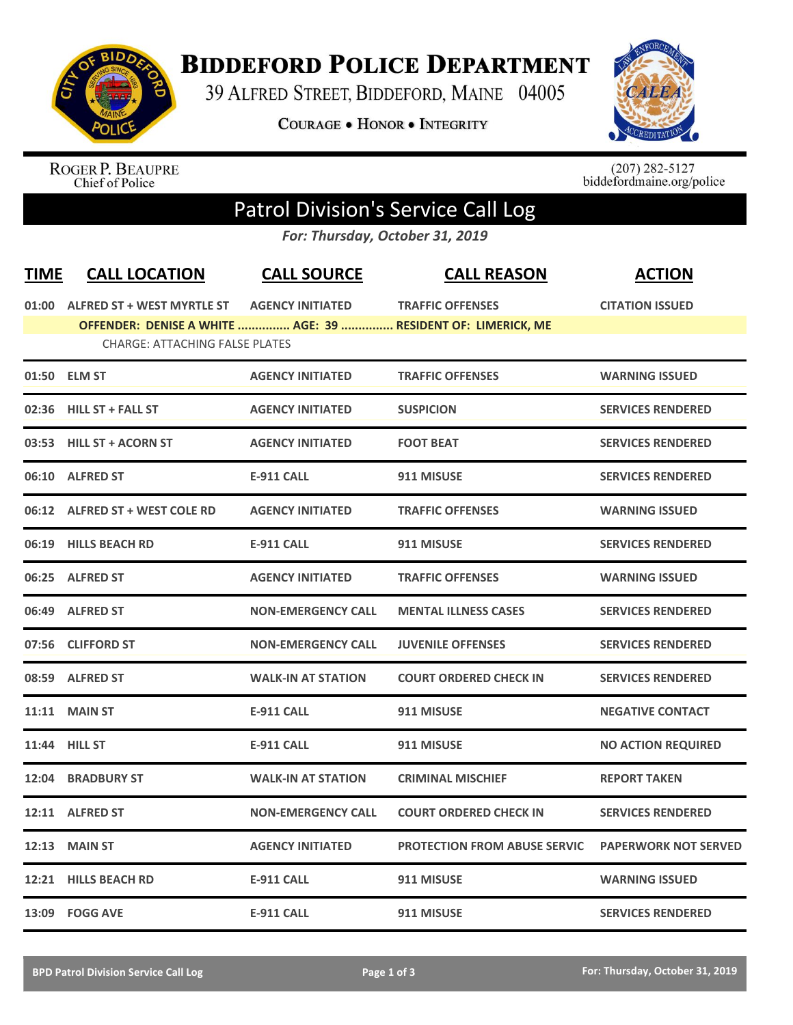

## **BIDDEFORD POLICE DEPARTMENT**

39 ALFRED STREET, BIDDEFORD, MAINE 04005

**COURAGE . HONOR . INTEGRITY** 



ROGER P. BEAUPRE<br>Chief of Police

 $(207)$  282-5127<br>biddefordmaine.org/police

## Patrol Division's Service Call Log

*For: Thursday, October 31, 2019*

| <b>TIME</b> | <b>CALL LOCATION</b>                  | <b>CALL SOURCE</b>        | <b>CALL REASON</b>                                           | <b>ACTION</b>               |
|-------------|---------------------------------------|---------------------------|--------------------------------------------------------------|-----------------------------|
|             | 01:00 ALFRED ST + WEST MYRTLE ST      | <b>AGENCY INITIATED</b>   | <b>TRAFFIC OFFENSES</b>                                      | <b>CITATION ISSUED</b>      |
|             |                                       |                           | OFFENDER: DENISE A WHITE  AGE: 39  RESIDENT OF: LIMERICK, ME |                             |
|             | <b>CHARGE: ATTACHING FALSE PLATES</b> |                           |                                                              |                             |
|             | 01:50 ELM ST                          | <b>AGENCY INITIATED</b>   | <b>TRAFFIC OFFENSES</b>                                      | <b>WARNING ISSUED</b>       |
|             | 02:36 HILL ST + FALL ST               | <b>AGENCY INITIATED</b>   | <b>SUSPICION</b>                                             | <b>SERVICES RENDERED</b>    |
|             | 03:53 HILL ST + ACORN ST              | <b>AGENCY INITIATED</b>   | <b>FOOT BEAT</b>                                             | <b>SERVICES RENDERED</b>    |
|             | 06:10 ALFRED ST                       | <b>E-911 CALL</b>         | 911 MISUSE                                                   | <b>SERVICES RENDERED</b>    |
|             | 06:12 ALFRED ST + WEST COLE RD        | <b>AGENCY INITIATED</b>   | <b>TRAFFIC OFFENSES</b>                                      | <b>WARNING ISSUED</b>       |
|             | 06:19 HILLS BEACH RD                  | <b>E-911 CALL</b>         | 911 MISUSE                                                   | <b>SERVICES RENDERED</b>    |
|             | 06:25 ALFRED ST                       | <b>AGENCY INITIATED</b>   | <b>TRAFFIC OFFENSES</b>                                      | <b>WARNING ISSUED</b>       |
|             | 06:49 ALFRED ST                       | <b>NON-EMERGENCY CALL</b> | <b>MENTAL ILLNESS CASES</b>                                  | <b>SERVICES RENDERED</b>    |
| 07:56       | <b>CLIFFORD ST</b>                    | <b>NON-EMERGENCY CALL</b> | <b>JUVENILE OFFENSES</b>                                     | <b>SERVICES RENDERED</b>    |
|             | 08:59 ALFRED ST                       | <b>WALK-IN AT STATION</b> | <b>COURT ORDERED CHECK IN</b>                                | <b>SERVICES RENDERED</b>    |
|             | <b>11:11 MAIN ST</b>                  | <b>E-911 CALL</b>         | 911 MISUSE                                                   | <b>NEGATIVE CONTACT</b>     |
|             | 11:44 HILL ST                         | <b>E-911 CALL</b>         | 911 MISUSE                                                   | <b>NO ACTION REQUIRED</b>   |
| 12:04       | <b>BRADBURY ST</b>                    | <b>WALK-IN AT STATION</b> | <b>CRIMINAL MISCHIEF</b>                                     | <b>REPORT TAKEN</b>         |
|             | 12:11 ALFRED ST                       | <b>NON-EMERGENCY CALL</b> | <b>COURT ORDERED CHECK IN</b>                                | <b>SERVICES RENDERED</b>    |
| 12:13       | <b>MAIN ST</b>                        | <b>AGENCY INITIATED</b>   | <b>PROTECTION FROM ABUSE SERVIC</b>                          | <b>PAPERWORK NOT SERVED</b> |
|             | 12:21 HILLS BEACH RD                  | <b>E-911 CALL</b>         | 911 MISUSE                                                   | <b>WARNING ISSUED</b>       |
|             | 13:09 FOGG AVE                        | <b>E-911 CALL</b>         | 911 MISUSE                                                   | <b>SERVICES RENDERED</b>    |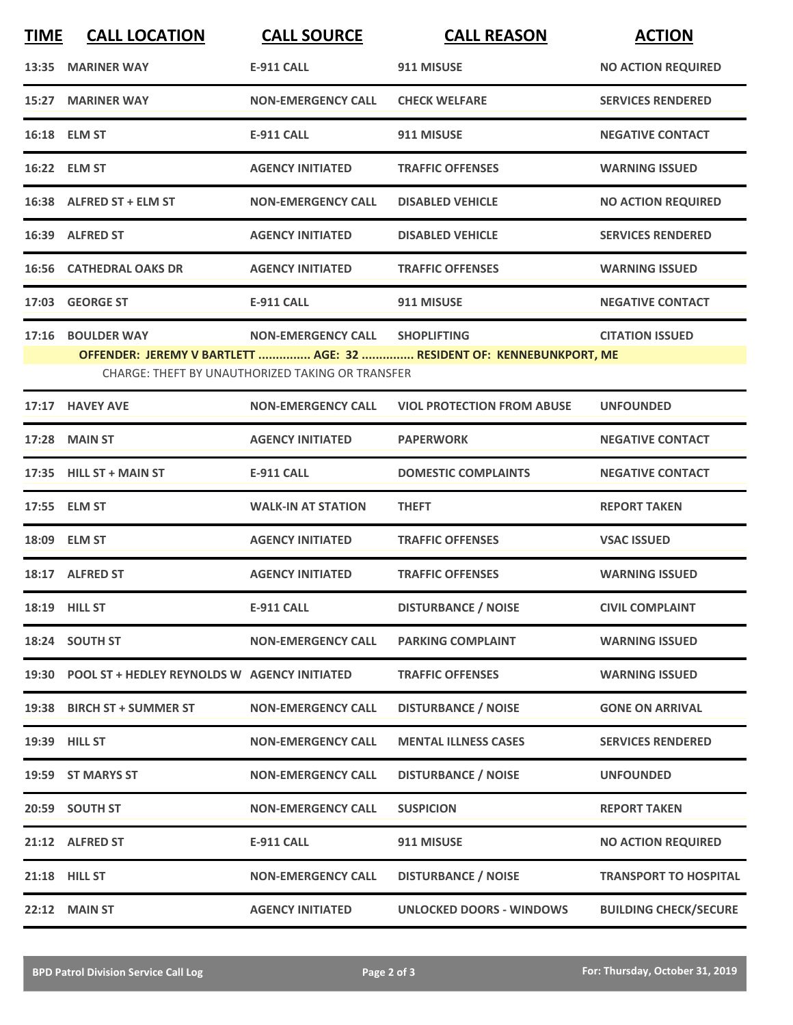| <b>TIME</b>                                                                                                              | <b>CALL LOCATION</b>                               | <b>CALL SOURCE</b>        | <b>CALL REASON</b>                | <b>ACTION</b>                |  |  |
|--------------------------------------------------------------------------------------------------------------------------|----------------------------------------------------|---------------------------|-----------------------------------|------------------------------|--|--|
|                                                                                                                          | 13:35 MARINER WAY                                  | <b>E-911 CALL</b>         | 911 MISUSE                        | <b>NO ACTION REQUIRED</b>    |  |  |
|                                                                                                                          | 15:27 MARINER WAY                                  | <b>NON-EMERGENCY CALL</b> | <b>CHECK WELFARE</b>              | <b>SERVICES RENDERED</b>     |  |  |
|                                                                                                                          | 16:18 ELM ST                                       | <b>E-911 CALL</b>         | 911 MISUSE                        | <b>NEGATIVE CONTACT</b>      |  |  |
|                                                                                                                          | 16:22 ELM ST                                       | <b>AGENCY INITIATED</b>   | <b>TRAFFIC OFFENSES</b>           | <b>WARNING ISSUED</b>        |  |  |
|                                                                                                                          | 16:38 ALFRED ST + ELM ST                           | <b>NON-EMERGENCY CALL</b> | <b>DISABLED VEHICLE</b>           | <b>NO ACTION REQUIRED</b>    |  |  |
|                                                                                                                          | 16:39 ALFRED ST                                    | <b>AGENCY INITIATED</b>   | <b>DISABLED VEHICLE</b>           | <b>SERVICES RENDERED</b>     |  |  |
|                                                                                                                          | <b>16:56 CATHEDRAL OAKS DR</b>                     | <b>AGENCY INITIATED</b>   | <b>TRAFFIC OFFENSES</b>           | <b>WARNING ISSUED</b>        |  |  |
|                                                                                                                          | 17:03 GEORGE ST                                    | <b>E-911 CALL</b>         | 911 MISUSE                        | <b>NEGATIVE CONTACT</b>      |  |  |
|                                                                                                                          | 17:16 BOULDER WAY                                  | <b>NON-EMERGENCY CALL</b> | <b>SHOPLIFTING</b>                | <b>CITATION ISSUED</b>       |  |  |
| OFFENDER: JEREMY V BARTLETT  AGE: 32  RESIDENT OF: KENNEBUNKPORT, ME<br>CHARGE: THEFT BY UNAUTHORIZED TAKING OR TRANSFER |                                                    |                           |                                   |                              |  |  |
|                                                                                                                          | 17:17 HAVEY AVE                                    | <b>NON-EMERGENCY CALL</b> | <b>VIOL PROTECTION FROM ABUSE</b> | <b>UNFOUNDED</b>             |  |  |
| 17:28                                                                                                                    | <b>MAIN ST</b>                                     | <b>AGENCY INITIATED</b>   | <b>PAPERWORK</b>                  | <b>NEGATIVE CONTACT</b>      |  |  |
|                                                                                                                          | 17:35 HILL ST + MAIN ST                            | <b>E-911 CALL</b>         | <b>DOMESTIC COMPLAINTS</b>        | <b>NEGATIVE CONTACT</b>      |  |  |
|                                                                                                                          | 17:55 ELM ST                                       | <b>WALK-IN AT STATION</b> | <b>THEFT</b>                      | <b>REPORT TAKEN</b>          |  |  |
|                                                                                                                          | 18:09 ELM ST                                       | <b>AGENCY INITIATED</b>   | <b>TRAFFIC OFFENSES</b>           | <b>VSAC ISSUED</b>           |  |  |
|                                                                                                                          | 18:17 ALFRED ST                                    | <b>AGENCY INITIATED</b>   | <b>TRAFFIC OFFENSES</b>           | <b>WARNING ISSUED</b>        |  |  |
|                                                                                                                          | 18:19 HILL ST                                      | <b>E-911 CALL</b>         | <b>DISTURBANCE / NOISE</b>        | <b>CIVIL COMPLAINT</b>       |  |  |
|                                                                                                                          | 18:24 SOUTH ST                                     | <b>NON-EMERGENCY CALL</b> | <b>PARKING COMPLAINT</b>          | <b>WARNING ISSUED</b>        |  |  |
|                                                                                                                          | 19:30 POOL ST + HEDLEY REYNOLDS W AGENCY INITIATED |                           | <b>TRAFFIC OFFENSES</b>           | <b>WARNING ISSUED</b>        |  |  |
|                                                                                                                          | 19:38 BIRCH ST + SUMMER ST                         | <b>NON-EMERGENCY CALL</b> | <b>DISTURBANCE / NOISE</b>        | <b>GONE ON ARRIVAL</b>       |  |  |
|                                                                                                                          | 19:39 HILL ST                                      | <b>NON-EMERGENCY CALL</b> | <b>MENTAL ILLNESS CASES</b>       | <b>SERVICES RENDERED</b>     |  |  |
|                                                                                                                          | 19:59 ST MARYS ST                                  | <b>NON-EMERGENCY CALL</b> | <b>DISTURBANCE / NOISE</b>        | <b>UNFOUNDED</b>             |  |  |
|                                                                                                                          | 20:59 SOUTH ST                                     | <b>NON-EMERGENCY CALL</b> | <b>SUSPICION</b>                  | <b>REPORT TAKEN</b>          |  |  |
|                                                                                                                          | 21:12 ALFRED ST                                    | <b>E-911 CALL</b>         | 911 MISUSE                        | <b>NO ACTION REQUIRED</b>    |  |  |
|                                                                                                                          | 21:18 HILL ST                                      | <b>NON-EMERGENCY CALL</b> | <b>DISTURBANCE / NOISE</b>        | <b>TRANSPORT TO HOSPITAL</b> |  |  |
|                                                                                                                          | <b>22:12 MAIN ST</b>                               | <b>AGENCY INITIATED</b>   | <b>UNLOCKED DOORS - WINDOWS</b>   | <b>BUILDING CHECK/SECURE</b> |  |  |